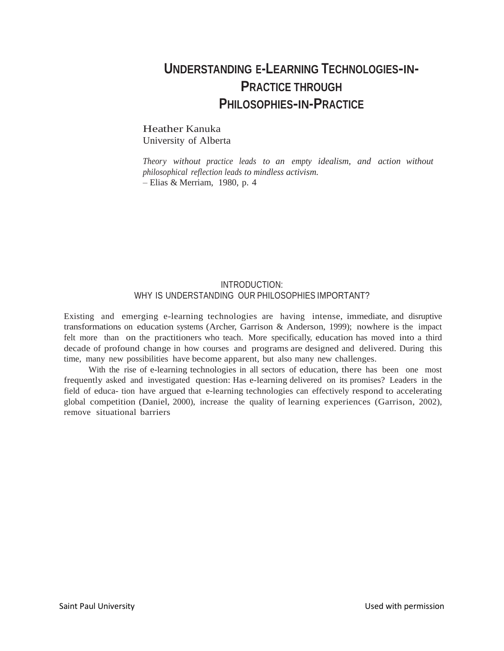# **UNDERSTANDING <sup>E</sup>-LEARNING TECHNOLOGIES-IN-PRACTICE THROUGH PHILOSOPHIES-IN-PRACTICE**

# Heather Kanuka University of Alberta

*Theory without practice leads to an empty idealism, and action without philosophical reflection leads to mindless activism.* – Elias & Merriam, 1980, p. 4

# INTRODUCTION: WHY IS UNDERSTANDING OUR PHILOSOPHIES IMPORTANT?

Existing and emerging e-learning technologies are having intense, immediate, and disruptive transformations on education systems (Archer, Garrison & Anderson, 1999); nowhere is the impact felt more than on the practitioners who teach. More specifically, education has moved into a third decade of profound change in how courses and programs are designed and delivered. During this time, many new possibilities have become apparent, but also many new challenges.

With the rise of e-learning technologies in all sectors of education, there has been one most frequently asked and investigated question: Has e-learning delivered on its promises? Leaders in the field of educa- tion have argued that e-learning technologies can effectively respond to accelerating global competition (Daniel, 2000), increase the quality of learning experiences (Garrison, 2002), remove situational barriers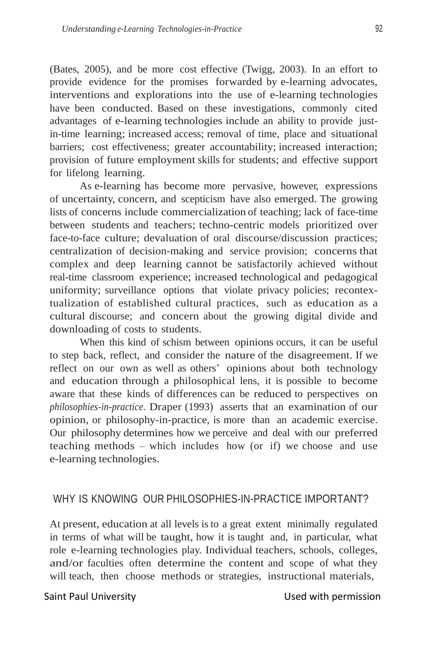(Bates, 2005), and be more cost effective (Twigg, 2003). In an effort to provide evidence for the promises forwarded by e-learning advocates, interventions and explorations into the use of e-learning technologies have been conducted. Based on these investigations, commonly cited advantages of e-learning technologies include an ability to provide justin-time learning; increased access; removal of time, place and situational barriers; cost effectiveness; greater accountability; increased interaction; provision of future employment skills for students; and effective support for lifelong learning.

As e-learning has become more pervasive, however, expressions of uncertainty, concern, and scepticism have also emerged. The growing lists of concerns include commercialization of teaching; lack of face-time between students and teachers; techno-centric models prioritized over face-to-face culture; devaluation of oral discourse/discussion practices; centralization of decision-making and service provision; concerns that complex and deep learning cannot be satisfactorily achieved without real-time classroom experience; increased technological and pedagogical uniformity; surveillance options that violate privacy policies; recontextualization of established cultural practices, such as education as a cultural discourse; and concern about the growing digital divide and downloading of costs to students.

When this kind of schism between opinions occurs, it can be useful to step back, reflect, and consider the nature of the disagreement. If we reflect on our own as well as others" opinions about both technology and education through a philosophical lens, it is possible to become aware that these kinds of differences can be reduced to perspectives on *philosophies-in-practice*. Draper (1993) asserts that an examination of our opinion, or philosophy-in-practice, is more than an academic exercise. Our philosophy determines how we perceive and deal with our preferred teaching methods – which includes how (or if) we choose and use e-learning technologies.

#### WHY IS KNOWING OUR PHILOSOPHIES-IN-PRACTICE IMPORTANT?

At present, education at all levels is to a great extent minimally regulated in terms of what will be taught, how it is taught and, in particular, what role e-learning technologies play. Individual teachers, schools, colleges, and/or faculties often determine the content and scope of what they will teach, then choose methods or strategies, instructional materials,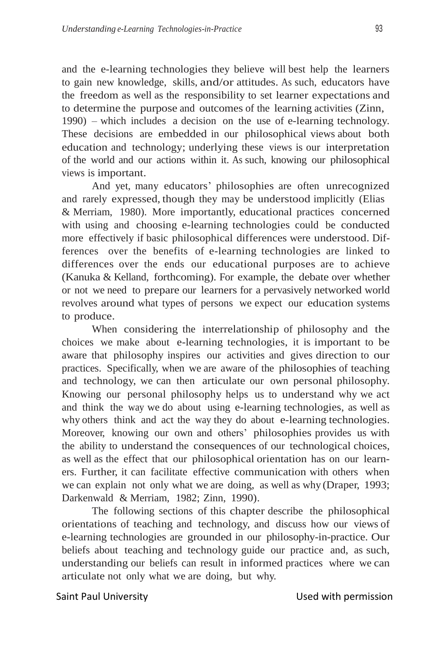and the e-learning technologies they believe will best help the learners to gain new knowledge, skills, and/or attitudes. As such, educators have the freedom as well as the responsibility to set learner expectations and to determine the purpose and outcomes of the learning activities (Zinn, 1990) – which includes a decision on the use of e-learning technology. These decisions are embedded in our philosophical views about both education and technology; underlying these views is our interpretation of the world and our actions within it. As such, knowing our philosophical views is important.

And yet, many educators" philosophies are often unrecognized and rarely expressed, though they may be understood implicitly (Elias & Merriam, 1980). More importantly, educational practices concerned with using and choosing e-learning technologies could be conducted more effectively if basic philosophical differences were understood. Differences over the benefits of e-learning technologies are linked to differences over the ends our educational purposes are to achieve (Kanuka & Kelland, forthcoming). For example, the debate over whether or not we need to prepare our learners for a pervasively networked world revolves around what types of persons we expect our education systems to produce.

When considering the interrelationship of philosophy and the choices we make about e-learning technologies, it is important to be aware that philosophy inspires our activities and gives direction to our practices. Specifically, when we are aware of the philosophies of teaching and technology, we can then articulate our own personal philosophy. Knowing our personal philosophy helps us to understand why we act and think the way we do about using e-learning technologies, as well as why others think and act the way they do about e-learning technologies. Moreover, knowing our own and others" philosophies provides us with the ability to understand the consequences of our technological choices, as well as the effect that our philosophical orientation has on our learners. Further, it can facilitate effective communication with others when we can explain not only what we are doing, as well as why (Draper, 1993; Darkenwald & Merriam, 1982; Zinn, 1990).

The following sections of this chapter describe the philosophical orientations of teaching and technology, and discuss how our views of e-learning technologies are grounded in our philosophy-in-practice. Our beliefs about teaching and technology guide our practice and, as such, understanding our beliefs can result in informed practices where we can articulate not only what we are doing, but why.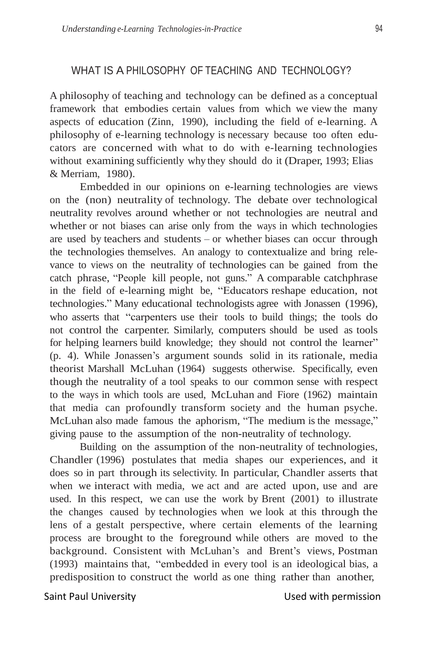# WHAT IS A PHILOSOPHY OF TEACHING AND TECHNOLOGY?

A philosophy of teaching and technology can be defined as a conceptual framework that embodies certain values from which we view the many aspects of education (Zinn, 1990), including the field of e-learning. A philosophy of e-learning technology is necessary because too often educators are concerned with what to do with e-learning technologies without examining sufficiently why they should do it (Draper, 1993; Elias & Merriam, 1980).

Embedded in our opinions on e-learning technologies are views on the (non) neutrality of technology. The debate over technological neutrality revolves around whether or not technologies are neutral and whether or not biases can arise only from the ways in which technologies are used by teachers and students – or whether biases can occur through the technologies themselves. An analogy to contextualize and bring relevance to views on the neutrality of technologies can be gained from the catch phrase, "People kill people, not guns." A comparable catchphrase in the field of e-learning might be, "Educators reshape education, not technologies." Many educational technologists agree with Jonassen (1996), who asserts that "carpenters use their tools to build things; the tools do not control the carpenter. Similarly, computers should be used as tools for helping learners build knowledge; they should not control the learner" (p. 4). While Jonassen"s argument sounds solid in its rationale, media theorist Marshall McLuhan (1964) suggests otherwise. Specifically, even though the neutrality of a tool speaks to our common sense with respect to the ways in which tools are used, McLuhan and Fiore (1962) maintain that media can profoundly transform society and the human psyche. McLuhan also made famous the aphorism, "The medium is the message," giving pause to the assumption of the non-neutrality of technology.

Building on the assumption of the non-neutrality of technologies, Chandler (1996) postulates that media shapes our experiences, and it does so in part through its selectivity. In particular, Chandler asserts that when we interact with media, we act and are acted upon, use and are used. In this respect, we can use the work by Brent (2001) to illustrate the changes caused by technologies when we look at this through the lens of a gestalt perspective, where certain elements of the learning process are brought to the foreground while others are moved to the background. Consistent with McLuhan's and Brent's views, Postman (1993) maintains that, "embedded in every tool is an ideological bias, a predisposition to construct the world as one thing rather than another,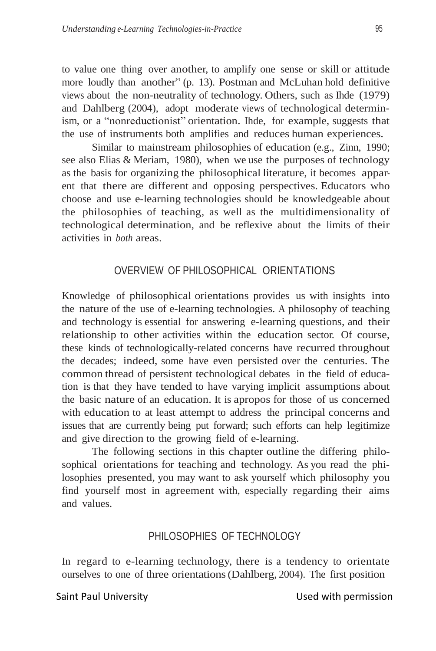to value one thing over another, to amplify one sense or skill or attitude more loudly than another" (p. 13). Postman and McLuhan hold definitive views about the non-neutrality of technology. Others, such as Ihde (1979) and Dahlberg (2004), adopt moderate views of technological determinism, or a "nonreductionist" orientation. Ihde, for example, suggests that the use of instruments both amplifies and reduces human experiences.

Similar to mainstream philosophies of education (e.g., Zinn, 1990; see also Elias & Meriam, 1980), when we use the purposes of technology as the basis for organizing the philosophical literature, it becomes apparent that there are different and opposing perspectives. Educators who choose and use e-learning technologies should be knowledgeable about the philosophies of teaching, as well as the multidimensionality of technological determination, and be reflexive about the limits of their activities in *both* areas.

#### OVERVIEW OF PHILOSOPHICAL ORIENTATIONS

Knowledge of philosophical orientations provides us with insights into the nature of the use of e-learning technologies. A philosophy of teaching and technology is essential for answering e-learning questions, and their relationship to other activities within the education sector. Of course, these kinds of technologically-related concerns have recurred throughout the decades; indeed, some have even persisted over the centuries. The common thread of persistent technological debates in the field of education is that they have tended to have varying implicit assumptions about the basic nature of an education. It is apropos for those of us concerned with education to at least attempt to address the principal concerns and issues that are currently being put forward; such efforts can help legitimize and give direction to the growing field of e-learning.

The following sections in this chapter outline the differing philosophical orientations for teaching and technology. As you read the philosophies presented, you may want to ask yourself which philosophy you find yourself most in agreement with, especially regarding their aims and values.

#### PHILOSOPHIES OF TECHNOLOGY

In regard to e-learning technology, there is a tendency to orientate ourselves to one of three orientations(Dahlberg, 2004). The first position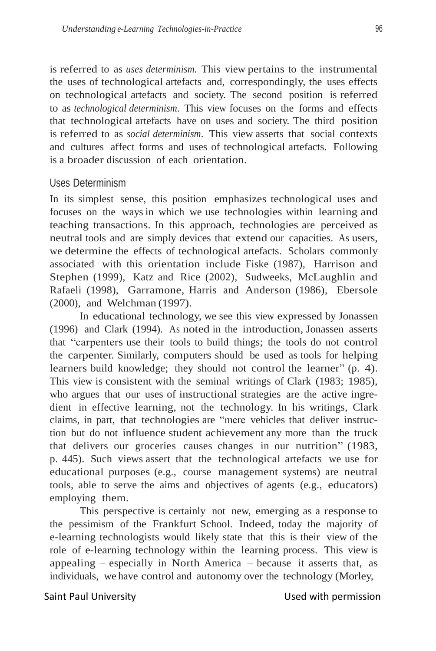is referred to as *uses determinism*. This view pertains to the instrumental the uses of technological artefacts and, correspondingly, the uses effects on technological artefacts and society. The second position is referred to as *technological determinism*. This view focuses on the forms and effects that technological artefacts have on uses and society. The third position is referred to as *social determinism*. This view asserts that social contexts and cultures affect forms and uses of technological artefacts. Following is a broader discussion of each orientation.

#### Uses Determinism

In its simplest sense, this position emphasizes technological uses and focuses on the ways in which we use technologies within learning and teaching transactions. In this approach, technologies are perceived as neutral tools and are simply devices that extend our capacities. As users, we determine the effects of technological artefacts. Scholars commonly associated with this orientation include Fiske (1987), Harrison and Stephen (1999), Katz and Rice (2002), Sudweeks, McLaughlin and Rafaeli (1998), Garramone, Harris and Anderson (1986), Ebersole (2000), and Welchman (1997).

In educational technology, we see this view expressed by Jonassen (1996) and Clark (1994). As noted in the introduction, Jonassen asserts that "carpenters use their tools to build things; the tools do not control the carpenter. Similarly, computers should be used as tools for helping learners build knowledge; they should not control the learner" (p. 4). This view is consistent with the seminal writings of Clark (1983; 1985), who argues that our uses of instructional strategies are the active ingredient in effective learning, not the technology. In his writings, Clark claims, in part, that technologies are "mere vehicles that deliver instruction but do not influence student achievement any more than the truck that delivers our groceries causes changes in our nutrition" (1983, p. 445). Such views assert that the technological artefacts we use for educational purposes (e.g., course management systems) are neutral tools, able to serve the aims and objectives of agents (e.g., educators) employing them.

This perspective is certainly not new, emerging as a response to the pessimism of the Frankfurt School. Indeed, today the majority of e-learning technologists would likely state that this is their view of the role of e-learning technology within the learning process. This view is appealing – especially in North America – because it asserts that, as individuals, we have control and autonomy over the technology (Morley,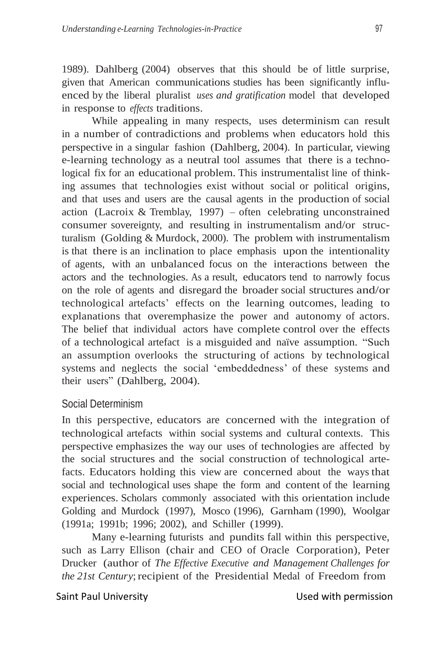1989). Dahlberg (2004) observes that this should be of little surprise, given that American communications studies has been significantly influenced by the liberal pluralist *uses and gratification* model that developed in response to *effects* traditions.

While appealing in many respects, uses determinism can result in a number of contradictions and problems when educators hold this perspective in a singular fashion (Dahlberg, 2004). In particular, viewing e-learning technology as a neutral tool assumes that there is a technological fix for an educational problem. This instrumentalist line of thinking assumes that technologies exist without social or political origins, and that uses and users are the causal agents in the production of social action (Lacroix & Tremblay, 1997) – often celebrating unconstrained consumer sovereignty, and resulting in instrumentalism and/or structuralism (Golding & Murdock, 2000). The problem with instrumentalism is that there is an inclination to place emphasis upon the intentionality of agents, with an unbalanced focus on the interactions between the actors and the technologies. As a result, educators tend to narrowly focus on the role of agents and disregard the broader social structures and/or technological artefacts" effects on the learning outcomes, leading to explanations that overemphasize the power and autonomy of actors. The belief that individual actors have complete control over the effects of a technological artefact is a misguided and naïve assumption. "Such an assumption overlooks the structuring of actions by technological systems and neglects the social "embeddedness" of these systems and their users" (Dahlberg, 2004).

#### Social Determinism

In this perspective, educators are concerned with the integration of technological artefacts within social systems and cultural contexts. This perspective emphasizes the way our uses of technologies are affected by the social structures and the social construction of technological artefacts. Educators holding this view are concerned about the ways that social and technological uses shape the form and content of the learning experiences. Scholars commonly associated with this orientation include Golding and Murdock (1997), Mosco (1996), Garnham (1990), Woolgar (1991a; 1991b; 1996; 2002), and Schiller (1999).

Many e-learning futurists and pundits fall within this perspective, such as Larry Ellison (chair and CEO of Oracle Corporation), Peter Drucker (author of *The Effective Executive and Management Challenges for the 21st Century*; recipient of the Presidential Medal of Freedom from

Saint Paul University **Example 20** Saint Paul University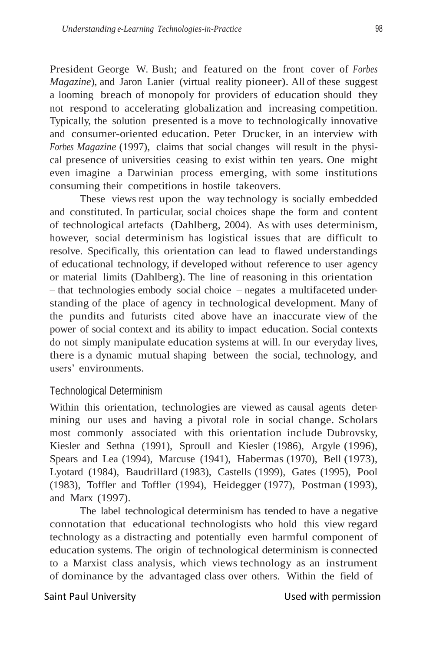President George W. Bush; and featured on the front cover of *Forbes Magazine*), and Jaron Lanier (virtual reality pioneer). All of these suggest a looming breach of monopoly for providers of education should they not respond to accelerating globalization and increasing competition. Typically, the solution presented is a move to technologically innovative and consumer-oriented education. Peter Drucker, in an interview with *Forbes Magazine* (1997), claims that social changes will result in the physical presence of universities ceasing to exist within ten years. One might even imagine a Darwinian process emerging, with some institutions consuming their competitions in hostile takeovers.

These views rest upon the way technology is socially embedded and constituted. In particular, social choices shape the form and content of technological artefacts (Dahlberg, 2004). As with uses determinism, however, social determinism has logistical issues that are difficult to resolve. Specifically, this orientation can lead to flawed understandings of educational technology, if developed without reference to user agency or material limits (Dahlberg). The line of reasoning in this orientation – that technologies embody social choice – negates a multifaceted understanding of the place of agency in technological development. Many of the pundits and futurists cited above have an inaccurate view of the power of social context and its ability to impact education. Social contexts do not simply manipulate education systems at will. In our everyday lives, there is a dynamic mutual shaping between the social, technology, and users" environments.

#### Technological Determinism

Within this orientation, technologies are viewed as causal agents determining our uses and having a pivotal role in social change. Scholars most commonly associated with this orientation include Dubrovsky, Kiesler and Sethna (1991), Sproull and Kiesler (1986), Argyle (1996), Spears and Lea (1994), Marcuse (1941), Habermas (1970), Bell (1973), Lyotard (1984), Baudrillard (1983), Castells (1999), Gates (1995), Pool (1983), Toffler and Toffler (1994), Heidegger (1977), Postman (1993), and Marx (1997).

The label technological determinism has tended to have a negative connotation that educational technologists who hold this view regard technology as a distracting and potentially even harmful component of education systems. The origin of technological determinism is connected to a Marxist class analysis, which views technology as an instrument of dominance by the advantaged class over others. Within the field of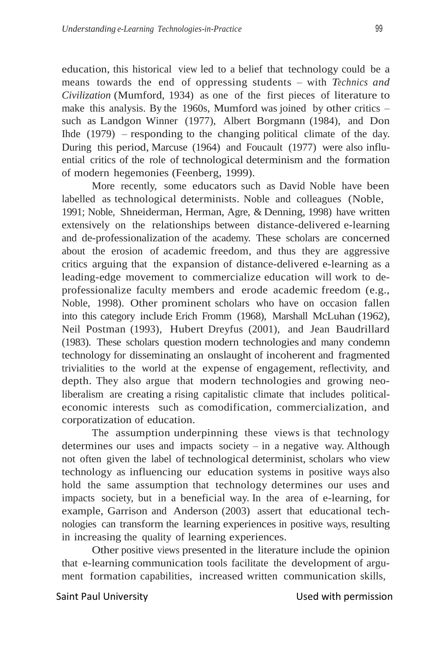education, this historical view led to a belief that technology could be a means towards the end of oppressing students – with *Technics and Civilization* (Mumford, 1934) as one of the first pieces of literature to make this analysis. By the 1960s, Mumford was joined by other critics – such as Landgon Winner (1977), Albert Borgmann (1984), and Don Ihde (1979) – responding to the changing political climate of the day. During this period, Marcuse (1964) and Foucault (1977) were also influential critics of the role of technological determinism and the formation of modern hegemonies (Feenberg, 1999).

More recently, some educators such as David Noble have been labelled as technological determinists. Noble and colleagues (Noble, 1991; Noble, Shneiderman, Herman, Agre, & Denning, 1998) have written extensively on the relationships between distance-delivered e-learning and de-professionalization of the academy. These scholars are concerned about the erosion of academic freedom, and thus they are aggressive critics arguing that the expansion of distance-delivered e-learning as a leading-edge movement to commercialize education will work to deprofessionalize faculty members and erode academic freedom (e.g., Noble, 1998). Other prominent scholars who have on occasion fallen into this category include Erich Fromm (1968), Marshall McLuhan (1962), Neil Postman (1993), Hubert Dreyfus (2001), and Jean Baudrillard (1983). These scholars question modern technologies and many condemn technology for disseminating an onslaught of incoherent and fragmented trivialities to the world at the expense of engagement, reflectivity, and depth. They also argue that modern technologies and growing neoliberalism are creating a rising capitalistic climate that includes politicaleconomic interests such as comodification, commercialization, and corporatization of education.

The assumption underpinning these views is that technology determines our uses and impacts society – in a negative way. Although not often given the label of technological determinist, scholars who view technology as influencing our education systems in positive ways also hold the same assumption that technology determines our uses and impacts society, but in a beneficial way. In the area of e-learning, for example, Garrison and Anderson (2003) assert that educational technologies can transform the learning experiences in positive ways, resulting in increasing the quality of learning experiences.

Other positive views presented in the literature include the opinion that e-learning communication tools facilitate the development of argument formation capabilities, increased written communication skills,

Saint Paul University **Example 20** Saint Paul University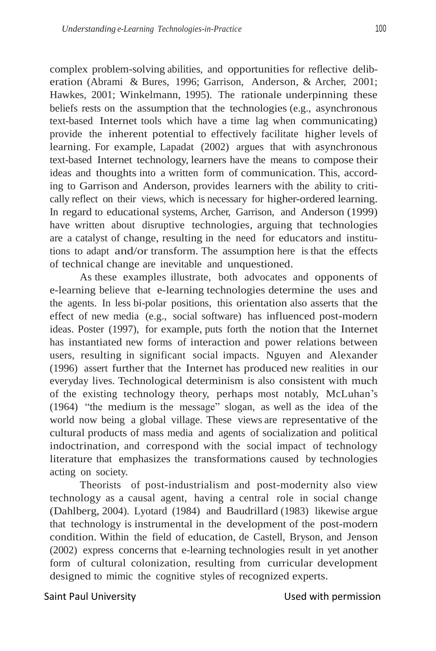complex problem-solving abilities, and opportunities for reflective deliberation (Abrami & Bures, 1996; Garrison, Anderson, & Archer, 2001; Hawkes, 2001; Winkelmann, 1995). The rationale underpinning these beliefs rests on the assumption that the technologies (e.g., asynchronous text-based Internet tools which have a time lag when communicating) provide the inherent potential to effectively facilitate higher levels of learning. For example, Lapadat (2002) argues that with asynchronous text-based Internet technology, learners have the means to compose their ideas and thoughts into a written form of communication. This, according to Garrison and Anderson, provides learners with the ability to critically reflect on their views, which is necessary for higher-ordered learning. In regard to educational systems, Archer, Garrison, and Anderson (1999) have written about disruptive technologies, arguing that technologies are a catalyst of change, resulting in the need for educators and institutions to adapt and/or transform. The assumption here is that the effects of technical change are inevitable and unquestioned.

As these examples illustrate, both advocates and opponents of e-learning believe that e-learning technologies determine the uses and the agents. In less bi-polar positions, this orientation also asserts that the effect of new media (e.g., social software) has influenced post-modern ideas. Poster (1997), for example, puts forth the notion that the Internet has instantiated new forms of interaction and power relations between users, resulting in significant social impacts. Nguyen and Alexander (1996) assert further that the Internet has produced new realities in our everyday lives. Technological determinism is also consistent with much of the existing technology theory, perhaps most notably, McLuhan"s (1964) "the medium is the message" slogan, as well as the idea of the world now being a global village. These views are representative of the cultural products of mass media and agents of socialization and political indoctrination, and correspond with the social impact of technology literature that emphasizes the transformations caused by technologies acting on society.

Theorists of post-industrialism and post-modernity also view technology as a causal agent, having a central role in social change (Dahlberg, 2004). Lyotard (1984) and Baudrillard (1983) likewise argue that technology is instrumental in the development of the post-modern condition. Within the field of education, de Castell, Bryson, and Jenson (2002) express concerns that e-learning technologies result in yet another form of cultural colonization, resulting from curricular development designed to mimic the cognitive styles of recognized experts.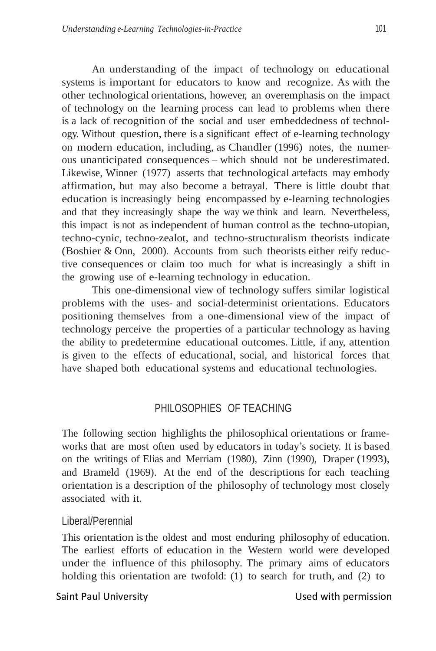An understanding of the impact of technology on educational systems is important for educators to know and recognize. As with the other technological orientations, however, an overemphasis on the impact of technology on the learning process can lead to problems when there is a lack of recognition of the social and user embeddedness of technology. Without question, there is a significant effect of e-learning technology on modern education, including, as Chandler (1996) notes, the numerous unanticipated consequences – which should not be underestimated. Likewise, Winner (1977) asserts that technological artefacts may embody affirmation, but may also become a betrayal. There is little doubt that education is increasingly being encompassed by e-learning technologies and that they increasingly shape the way we think and learn. Nevertheless, this impact is not as independent of human control as the techno-utopian, techno-cynic, techno-zealot, and techno-structuralism theorists indicate (Boshier & Onn, 2000). Accounts from such theorists either reify reductive consequences or claim too much for what is increasingly a shift in the growing use of e-learning technology in education.

This one-dimensional view of technology suffers similar logistical problems with the uses- and social-determinist orientations. Educators positioning themselves from a one-dimensional view of the impact of technology perceive the properties of a particular technology as having the ability to predetermine educational outcomes. Little, if any, attention is given to the effects of educational, social, and historical forces that have shaped both educational systems and educational technologies.

# PHILOSOPHIES OF TEACHING

The following section highlights the philosophical orientations or frameworks that are most often used by educators in today"s society. It is based on the writings of Elias and Merriam (1980), Zinn (1990), Draper (1993), and Brameld (1969). At the end of the descriptions for each teaching orientation is a description of the philosophy of technology most closely associated with it.

### Liberal/Perennial

This orientation is the oldest and most enduring philosophy of education. The earliest efforts of education in the Western world were developed under the influence of this philosophy. The primary aims of educators holding this orientation are twofold: (1) to search for truth, and (2) to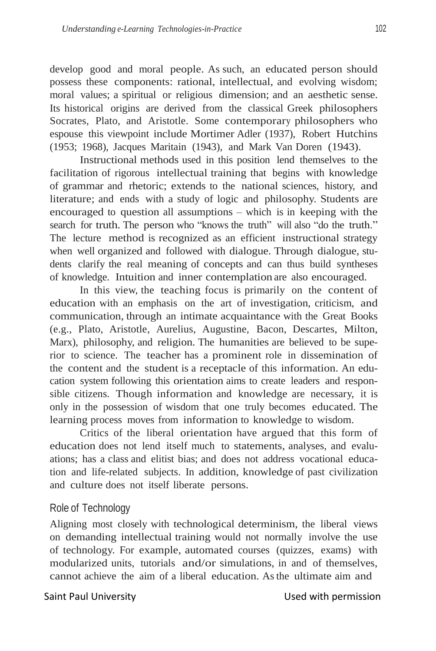develop good and moral people. As such, an educated person should possess these components: rational, intellectual, and evolving wisdom; moral values; a spiritual or religious dimension; and an aesthetic sense. Its historical origins are derived from the classical Greek philosophers Socrates, Plato, and Aristotle. Some contemporary philosophers who espouse this viewpoint include Mortimer Adler (1937), Robert Hutchins (1953; 1968), Jacques Maritain (1943), and Mark Van Doren (1943).

Instructional methods used in this position lend themselves to the facilitation of rigorous intellectual training that begins with knowledge of grammar and rhetoric; extends to the national sciences, history, and literature; and ends with a study of logic and philosophy. Students are encouraged to question all assumptions – which is in keeping with the search for truth. The person who "knows the truth" will also "do the truth." The lecture method is recognized as an efficient instructional strategy when well organized and followed with dialogue. Through dialogue, students clarify the real meaning of concepts and can thus build syntheses of knowledge. Intuition and inner contemplation are also encouraged.

In this view, the teaching focus is primarily on the content of education with an emphasis on the art of investigation, criticism, and communication, through an intimate acquaintance with the Great Books (e.g., Plato, Aristotle, Aurelius, Augustine, Bacon, Descartes, Milton, Marx), philosophy, and religion. The humanities are believed to be superior to science. The teacher has a prominent role in dissemination of the content and the student is a receptacle of this information. An education system following this orientation aims to create leaders and responsible citizens. Though information and knowledge are necessary, it is only in the possession of wisdom that one truly becomes educated. The learning process moves from information to knowledge to wisdom.

Critics of the liberal orientation have argued that this form of education does not lend itself much to statements, analyses, and evaluations; has a class and elitist bias; and does not address vocational education and life-related subjects. In addition, knowledge of past civilization and culture does not itself liberate persons.

# Role of Technology

Aligning most closely with technological determinism, the liberal views on demanding intellectual training would not normally involve the use of technology. For example, automated courses (quizzes, exams) with modularized units, tutorials and/or simulations, in and of themselves, cannot achieve the aim of a liberal education. Asthe ultimate aim and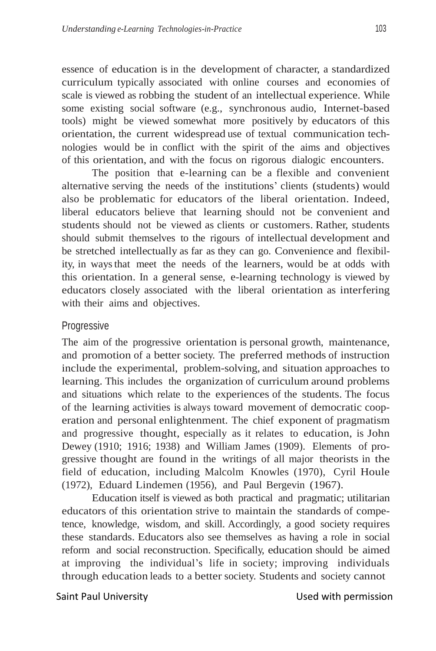essence of education is in the development of character, a standardized curriculum typically associated with online courses and economies of scale is viewed as robbing the student of an intellectual experience. While some existing social software (e.g., synchronous audio, Internet-based tools) might be viewed somewhat more positively by educators of this orientation, the current widespread use of textual communication technologies would be in conflict with the spirit of the aims and objectives of this orientation, and with the focus on rigorous dialogic encounters.

The position that e-learning can be a flexible and convenient alternative serving the needs of the institutions" clients (students) would also be problematic for educators of the liberal orientation. Indeed, liberal educators believe that learning should not be convenient and students should not be viewed as clients or customers. Rather, students should submit themselves to the rigours of intellectual development and be stretched intellectually as far as they can go. Convenience and flexibility, in waysthat meet the needs of the learners, would be at odds with this orientation. In a general sense, e-learning technology is viewed by educators closely associated with the liberal orientation as interfering with their aims and objectives.

#### Progressive

The aim of the progressive orientation is personal growth, maintenance, and promotion of a better society. The preferred methods of instruction include the experimental, problem-solving, and situation approaches to learning. This includes the organization of curriculum around problems and situations which relate to the experiences of the students. The focus of the learning activities is always toward movement of democratic cooperation and personal enlightenment. The chief exponent of pragmatism and progressive thought, especially as it relates to education, is John Dewey (1910; 1916; 1938) and William James (1909). Elements of progressive thought are found in the writings of all major theorists in the field of education, including Malcolm Knowles (1970), Cyril Houle (1972), Eduard Lindemen (1956), and Paul Bergevin (1967).

Education itself is viewed as both practical and pragmatic; utilitarian educators of this orientation strive to maintain the standards of competence, knowledge, wisdom, and skill. Accordingly, a good society requires these standards. Educators also see themselves as having a role in social reform and social reconstruction. Specifically, education should be aimed at improving the individual"s life in society; improving individuals through education leads to a better society. Students and society cannot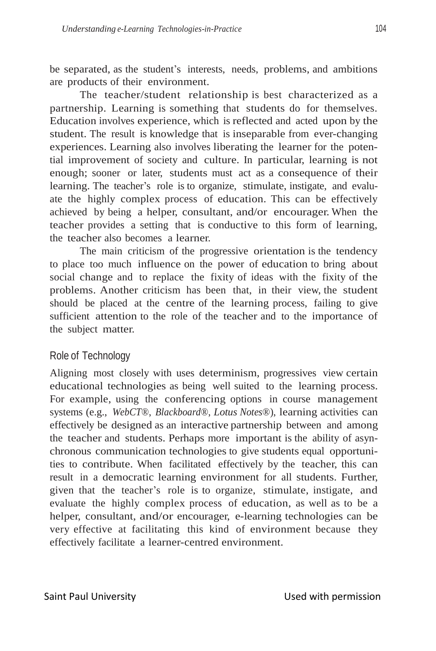be separated, as the student's interests, needs, problems, and ambitions are products of their environment.

The teacher/student relationship is best characterized as a partnership. Learning is something that students do for themselves. Education involves experience, which is reflected and acted upon by the student. The result is knowledge that is inseparable from ever-changing experiences. Learning also involves liberating the learner for the potential improvement of society and culture. In particular, learning is not enough; sooner or later, students must act as a consequence of their learning. The teacher's role is to organize, stimulate, instigate, and evaluate the highly complex process of education. This can be effectively achieved by being a helper, consultant, and/or encourager. When the teacher provides a setting that is conductive to this form of learning, the teacher also becomes a learner.

The main criticism of the progressive orientation is the tendency to place too much influence on the power of education to bring about social change and to replace the fixity of ideas with the fixity of the problems. Another criticism has been that, in their view, the student should be placed at the centre of the learning process, failing to give sufficient attention to the role of the teacher and to the importance of the subject matter.

# Role of Technology

Aligning most closely with uses determinism, progressives view certain educational technologies as being well suited to the learning process. For example, using the conferencing options in course management systems (e.g., *WebCT*®, *Blackboard*®, *Lotus Notes*®), learning activities can effectively be designed as an interactive partnership between and among the teacher and students. Perhaps more important is the ability of asynchronous communication technologies to give students equal opportunities to contribute. When facilitated effectively by the teacher, this can result in a democratic learning environment for all students. Further, given that the teacher"s role is to organize, stimulate, instigate, and evaluate the highly complex process of education, as well as to be a helper, consultant, and/or encourager, e-learning technologies can be very effective at facilitating this kind of environment because they effectively facilitate a learner-centred environment.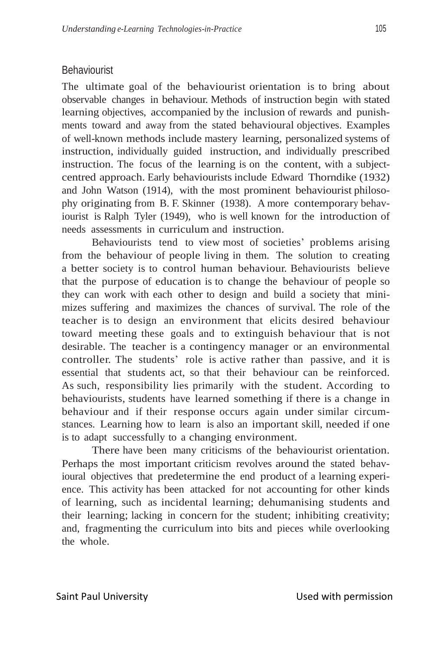# Behaviourist

The ultimate goal of the behaviourist orientation is to bring about observable changes in behaviour. Methods of instruction begin with stated learning objectives, accompanied by the inclusion of rewards and punishments toward and away from the stated behavioural objectives. Examples of well-known methods include mastery learning, personalized systems of instruction, individually guided instruction, and individually prescribed instruction. The focus of the learning is on the content, with a subjectcentred approach. Early behaviourists include Edward Thorndike (1932) and John Watson (1914), with the most prominent behaviourist philosophy originating from B. F. Skinner (1938). A more contemporary behaviourist is Ralph Tyler (1949), who is well known for the introduction of needs assessments in curriculum and instruction.

Behaviourists tend to view most of societies' problems arising from the behaviour of people living in them. The solution to creating a better society is to control human behaviour. Behaviourists believe that the purpose of education is to change the behaviour of people so they can work with each other to design and build a society that minimizes suffering and maximizes the chances of survival. The role of the teacher is to design an environment that elicits desired behaviour toward meeting these goals and to extinguish behaviour that is not desirable. The teacher is a contingency manager or an environmental controller. The students' role is active rather than passive, and it is essential that students act, so that their behaviour can be reinforced. As such, responsibility lies primarily with the student. According to behaviourists, students have learned something if there is a change in behaviour and if their response occurs again under similar circumstances. Learning how to learn is also an important skill, needed if one is to adapt successfully to a changing environment.

There have been many criticisms of the behaviourist orientation. Perhaps the most important criticism revolves around the stated behavioural objectives that predetermine the end product of a learning experience. This activity has been attacked for not accounting for other kinds of learning, such as incidental learning; dehumanising students and their learning; lacking in concern for the student; inhibiting creativity; and, fragmenting the curriculum into bits and pieces while overlooking the whole.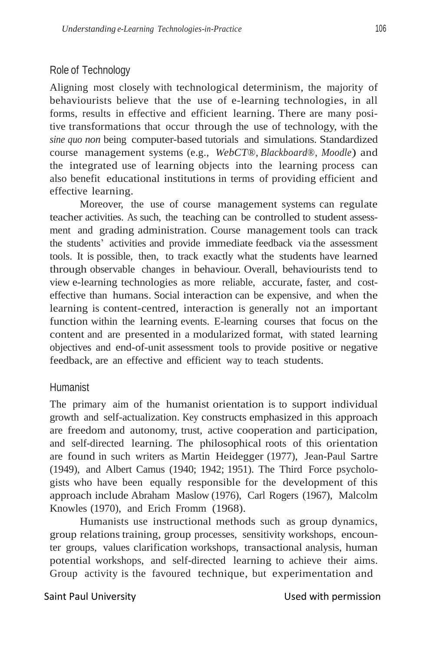# Role of Technology

Aligning most closely with technological determinism, the majority of behaviourists believe that the use of e-learning technologies, in all forms, results in effective and efficient learning. There are many positive transformations that occur through the use of technology, with the *sine quo non* being computer-based tutorials and simulations. Standardized course management systems (e.g., *WebCT*®, *Blackboard*®, *Moodle*) and the integrated use of learning objects into the learning process can also benefit educational institutions in terms of providing efficient and effective learning.

Moreover, the use of course management systems can regulate teacher activities. As such, the teaching can be controlled to student assessment and grading administration. Course management tools can track the students" activities and provide immediate feedback via the assessment tools. It is possible, then, to track exactly what the students have learned through observable changes in behaviour. Overall, behaviourists tend to view e-learning technologies as more reliable, accurate, faster, and costeffective than humans. Social interaction can be expensive, and when the learning is content-centred, interaction is generally not an important function within the learning events. E-learning courses that focus on the content and are presented in a modularized format, with stated learning objectives and end-of-unit assessment tools to provide positive or negative feedback, are an effective and efficient way to teach students.

#### Humanist

The primary aim of the humanist orientation is to support individual growth and self-actualization. Key constructs emphasized in this approach are freedom and autonomy, trust, active cooperation and participation, and self-directed learning. The philosophical roots of this orientation are found in such writers as Martin Heidegger (1977), Jean-Paul Sartre (1949), and Albert Camus (1940; 1942; 1951). The Third Force psychologists who have been equally responsible for the development of this approach include Abraham Maslow (1976), Carl Rogers (1967), Malcolm Knowles (1970), and Erich Fromm (1968).

Humanists use instructional methods such as group dynamics, group relations training, group processes, sensitivity workshops, encounter groups, values clarification workshops, transactional analysis, human potential workshops, and self-directed learning to achieve their aims. Group activity is the favoured technique, but experimentation and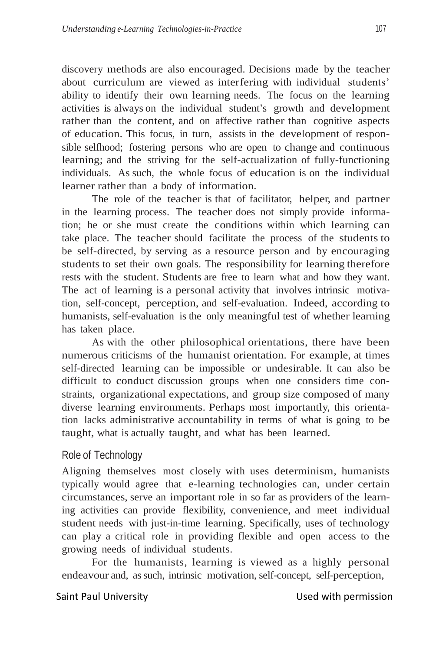discovery methods are also encouraged. Decisions made by the teacher about curriculum are viewed as interfering with individual students' ability to identify their own learning needs. The focus on the learning activities is always on the individual student"s growth and development rather than the content, and on affective rather than cognitive aspects of education. This focus, in turn, assists in the development of responsible selfhood; fostering persons who are open to change and continuous learning; and the striving for the self-actualization of fully-functioning individuals. As such, the whole focus of education is on the individual learner rather than a body of information.

The role of the teacher is that of facilitator, helper, and partner in the learning process. The teacher does not simply provide information; he or she must create the conditions within which learning can take place. The teacher should facilitate the process of the students to be self-directed, by serving as a resource person and by encouraging students to set their own goals. The responsibility for learning therefore rests with the student. Students are free to learn what and how they want. The act of learning is a personal activity that involves intrinsic motivation, self-concept, perception, and self-evaluation. Indeed, according to humanists, self-evaluation is the only meaningful test of whether learning has taken place.

As with the other philosophical orientations, there have been numerous criticisms of the humanist orientation. For example, at times self-directed learning can be impossible or undesirable. It can also be difficult to conduct discussion groups when one considers time constraints, organizational expectations, and group size composed of many diverse learning environments. Perhaps most importantly, this orientation lacks administrative accountability in terms of what is going to be taught, what is actually taught, and what has been learned.

# Role of Technology

Aligning themselves most closely with uses determinism, humanists typically would agree that e-learning technologies can, under certain circumstances, serve an important role in so far as providers of the learning activities can provide flexibility, convenience, and meet individual student needs with just-in-time learning. Specifically, uses of technology can play a critical role in providing flexible and open access to the growing needs of individual students.

For the humanists, learning is viewed as a highly personal endeavour and, assuch, intrinsic motivation, self-concept, self-perception,

Saint Paul University **Example 20** Saint Paul University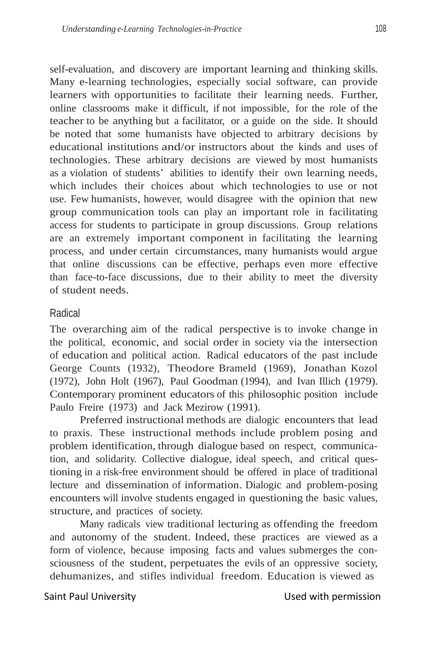self-evaluation, and discovery are important learning and thinking skills. Many e-learning technologies, especially social software, can provide learners with opportunities to facilitate their learning needs. Further, online classrooms make it difficult, if not impossible, for the role of the teacher to be anything but a facilitator, or a guide on the side. It should be noted that some humanists have objected to arbitrary decisions by educational institutions and/or instructors about the kinds and uses of technologies. These arbitrary decisions are viewed by most humanists as a violation of students" abilities to identify their own learning needs, which includes their choices about which technologies to use or not use. Few humanists, however, would disagree with the opinion that new group communication tools can play an important role in facilitating access for students to participate in group discussions. Group relations are an extremely important component in facilitating the learning process, and under certain circumstances, many humanists would argue that online discussions can be effective, perhaps even more effective than face-to-face discussions, due to their ability to meet the diversity of student needs.

#### Radical

The overarching aim of the radical perspective is to invoke change in the political, economic, and social order in society via the intersection of education and political action. Radical educators of the past include George Counts (1932), Theodore Brameld (1969), Jonathan Kozol (1972), John Holt (1967), Paul Goodman (1994), and Ivan Illich (1979). Contemporary prominent educators of this philosophic position include Paulo Freire (1973) and Jack Mezirow (1991).

Preferred instructional methods are dialogic encounters that lead to praxis. These instructional methods include problem posing and problem identification, through dialogue based on respect, communication, and solidarity. Collective dialogue, ideal speech, and critical questioning in a risk-free environment should be offered in place of traditional lecture and dissemination of information. Dialogic and problem-posing encounters will involve students engaged in questioning the basic values, structure, and practices of society.

Many radicals view traditional lecturing as offending the freedom and autonomy of the student. Indeed, these practices are viewed as a form of violence, because imposing facts and values submerges the consciousness of the student, perpetuates the evils of an oppressive society, dehumanizes, and stifles individual freedom. Education is viewed as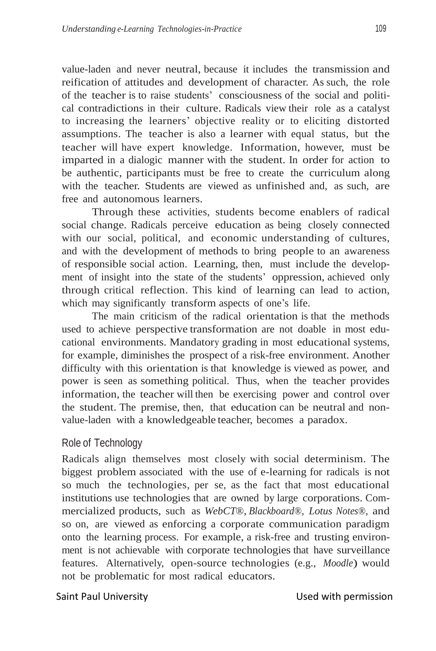value-laden and never neutral, because it includes the transmission and reification of attitudes and development of character. As such, the role of the teacher is to raise students" consciousness of the social and political contradictions in their culture. Radicals view their role as a catalyst to increasing the learners" objective reality or to eliciting distorted assumptions. The teacher is also a learner with equal status, but the teacher will have expert knowledge. Information, however, must be imparted in a dialogic manner with the student. In order for action to be authentic, participants must be free to create the curriculum along with the teacher. Students are viewed as unfinished and, as such, are free and autonomous learners.

Through these activities, students become enablers of radical social change. Radicals perceive education as being closely connected with our social, political, and economic understanding of cultures, and with the development of methods to bring people to an awareness of responsible social action. Learning, then, must include the development of insight into the state of the students" oppression, achieved only through critical reflection. This kind of learning can lead to action, which may significantly transform aspects of one's life.

The main criticism of the radical orientation is that the methods used to achieve perspective transformation are not doable in most educational environments. Mandatory grading in most educational systems, for example, diminishes the prospect of a risk-free environment. Another difficulty with this orientation is that knowledge is viewed as power, and power is seen as something political. Thus, when the teacher provides information, the teacher will then be exercising power and control over the student. The premise, then, that education can be neutral and nonvalue-laden with a knowledgeable teacher, becomes a paradox.

# Role of Technology

Radicals align themselves most closely with social determinism. The biggest problem associated with the use of e-learning for radicals is not so much the technologies, per se*,* as the fact that most educational institutions use technologies that are owned by large corporations. Commercialized products, such as *WebCT*®, *Blackboard*®, *Lotus Notes*®, and so on, are viewed as enforcing a corporate communication paradigm onto the learning process. For example, a risk-free and trusting environment is not achievable with corporate technologies that have surveillance features. Alternatively, open-source technologies (e.g., *Moodle*) would not be problematic for most radical educators.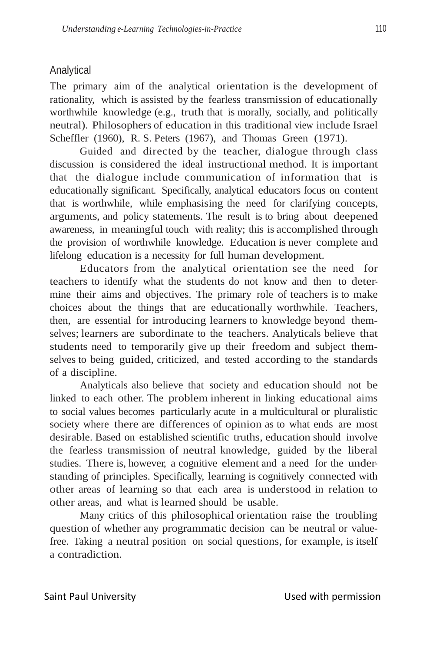# Analytical

The primary aim of the analytical orientation is the development of rationality, which is assisted by the fearless transmission of educationally worthwhile knowledge (e.g., truth that is morally, socially, and politically neutral). Philosophers of education in this traditional view include Israel Scheffler (1960), R. S. Peters (1967), and Thomas Green (1971).

Guided and directed by the teacher, dialogue through class discussion is considered the ideal instructional method. It is important that the dialogue include communication of information that is educationally significant. Specifically, analytical educators focus on content that is worthwhile, while emphasising the need for clarifying concepts, arguments, and policy statements. The result is to bring about deepened awareness, in meaningful touch with reality; this is accomplished through the provision of worthwhile knowledge. Education is never complete and lifelong education is a necessity for full human development.

Educators from the analytical orientation see the need for teachers to identify what the students do not know and then to determine their aims and objectives. The primary role of teachers is to make choices about the things that are educationally worthwhile. Teachers, then, are essential for introducing learners to knowledge beyond themselves; learners are subordinate to the teachers. Analyticals believe that students need to temporarily give up their freedom and subject themselves to being guided, criticized, and tested according to the standards of a discipline.

Analyticals also believe that society and education should not be linked to each other. The problem inherent in linking educational aims to social values becomes particularly acute in a multicultural or pluralistic society where there are differences of opinion as to what ends are most desirable. Based on established scientific truths, education should involve the fearless transmission of neutral knowledge, guided by the liberal studies. There is, however, a cognitive element and a need for the understanding of principles. Specifically, learning is cognitively connected with other areas of learning so that each area is understood in relation to other areas, and what is learned should be usable.

Many critics of this philosophical orientation raise the troubling question of whether any programmatic decision can be neutral or valuefree. Taking a neutral position on social questions, for example, is itself a contradiction.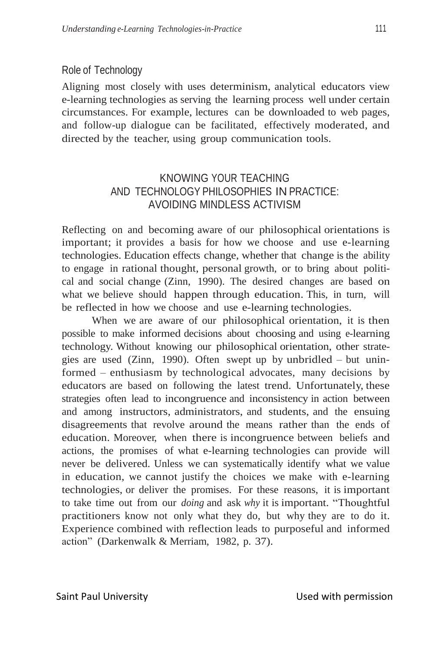# Role of Technology

Aligning most closely with uses determinism, analytical educators view e-learning technologies as serving the learning process well under certain circumstances. For example, lectures can be downloaded to web pages, and follow-up dialogue can be facilitated, effectively moderated, and directed by the teacher, using group communication tools.

# KNOWING YOUR TEACHING AND TECHNOLOGY PHILOSOPHIES IN PRACTICE: AVOIDING MINDLESS ACTIVISM

Reflecting on and becoming aware of our philosophical orientations is important; it provides a basis for how we choose and use e-learning technologies. Education effects change, whether that change is the ability to engage in rational thought, personal growth, or to bring about political and social change (Zinn, 1990). The desired changes are based on what we believe should happen through education. This, in turn, will be reflected in how we choose and use e-learning technologies.

When we are aware of our philosophical orientation, it is then possible to make informed decisions about choosing and using e-learning technology. Without knowing our philosophical orientation, other strategies are used (Zinn, 1990). Often swept up by unbridled – but uninformed – enthusiasm by technological advocates, many decisions by educators are based on following the latest trend. Unfortunately, these strategies often lead to incongruence and inconsistency in action between and among instructors, administrators, and students, and the ensuing disagreements that revolve around the means rather than the ends of education. Moreover, when there is incongruence between beliefs and actions, the promises of what e-learning technologies can provide will never be delivered. Unless we can systematically identify what we value in education, we cannot justify the choices we make with e-learning technologies, or deliver the promises. For these reasons, it is important to take time out from our *doing* and ask *why* it is important. "Thoughtful practitioners know not only what they do, but why they are to do it. Experience combined with reflection leads to purposeful and informed action" (Darkenwalk & Merriam, 1982, p. 37).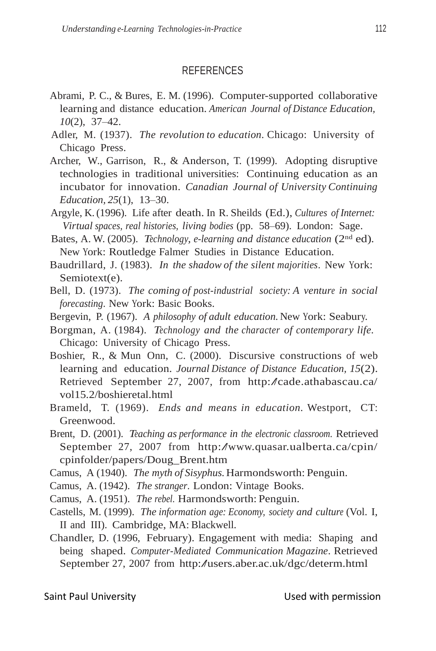#### REFERENCES

- Abrami, P. C., & Bures, E. M. (1996). Computer-supported collaborative learning and distance education. *American Journal of Distance Education, 10*(2), 37–42.
- Adler, M. (1937). *The revolution to education.* Chicago: University of Chicago Press.
- Archer, W., Garrison, R., & Anderson, T. (1999). Adopting disruptive technologies in traditional universities: Continuing education as an incubator for innovation. *Canadian Journal of University Continuing Education, 25*(1), 13–30.
- Argyle, K.(1996). Life after death. In R. Sheilds (Ed.), *Cultures of Internet: Virtual spaces, real histories, living bodies* (pp. 58–69). London: Sage.
- Bates, A. W. (2005). *Technology, e-learning and distance education* (2nd ed)*.* New York: Routledge Falmer Studies in Distance Education.
- Baudrillard, J. (1983). *In the shadow of the silent majorities*. New York: Semiotext(e).
- Bell, D. (1973). *The coming of post-industrial society: A venture in social forecasting*. New York: Basic Books.
- Bergevin, P. (1967). *A philosophy of adult education.* New York: Seabury.
- Borgman, A. (1984). *Technology and the character of contemporary life.* Chicago: University of Chicago Press.
- Boshier, R., & Mun Onn, C. (2000). Discursive constructions of web learning and education. *Journal Distance of Distance Education, 15*(2). Retrieved September 27, 2007, from <http://cade.athabascau.ca/> vol15.2/boshieretal.html
- Brameld, T. (1969). *Ends and means in education.* Westport, CT: Greenwood.
- Brent, D. (2001). *Teaching as performance in the electronic classroom*. Retrieved September 27, <sup>2007</sup> from <http://www.quasar.ualberta.ca/cpin/> cpinfolder/papers/Doug\_Brent.htm
- Camus, A (1940). *The myth of Sisyphus*. Harmondsworth: Penguin.
- Camus, A. (1942). *The stranger*. London: Vintage Books.
- Camus, A. (1951). *The rebel*. Harmondsworth: Penguin.
- Castells, M. (1999). *The information age: Economy, society and culture* (Vol. I, II and III). Cambridge, MA: Blackwell.
- Chandler, D. (1996, February). Engagement with media: Shaping and being shaped. *Computer-Mediated Communication Magazine*. Retrieved September 27, <sup>2007</sup> from <http://users.aber.ac.uk/dgc/determ.html>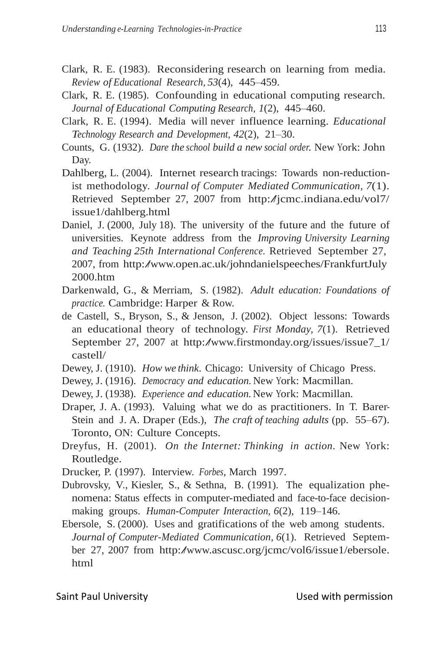- Clark, R. E. (1983). Reconsidering research on learning from media. *Review of Educational Research, 53*(4), 445–459.
- Clark, R. E. (1985). Confounding in educational computing research. *Journal of Educational Computing Research, 1*(2), 445–460.
- Clark, R. E. (1994). Media will never influence learning. *Educational Technology Research and Development, 42*(2), 21–30.
- Counts, G. (1932). *Dare the school build a new social order.* New York: John Day.
- Dahlberg, L. (2004). Internet research tracings: Towards non-reductionist methodology. *Journal of Computer Mediated Communication, 7*(1). Retrieved September 27, <sup>2007</sup> from <http://jcmc.indiana.edu/vol7/> issue1/dahlberg.html
- Daniel, J. (2000, July 18). The university of the future and the future of universities. Keynote address from the *Improving University Learning and Teaching 25th International Conference*. Retrieved September 27, 2007, from <http://www.open.ac.uk/johndanielspeeches/FrankfurtJuly> 2000.htm
- Darkenwald, G., & Merriam, S. (1982). *Adult education: Foundations of practice.* Cambridge: Harper & Row.
- de Castell, S., Bryson, S., & Jenson, J. (2002). Object lessons: Towards an educational theory of technology. *First Monday, 7*(1). Retrieved September 27, <sup>2007</sup> at [http://www.firstmonday.org/issues/issue7\\_1/](http://www.firstmonday.org/issues/issue7_1/)  castell/
- Dewey, J. (1910). *How we think*. Chicago: University of Chicago Press.
- Dewey, J. (1916). *Democracy and education.* New York: Macmillan.
- Dewey, J. (1938). *Experience and education.* New York: Macmillan.
- Draper, J. A. (1993). Valuing what we do as practitioners. In T. Barer-Stein and J. A. Draper (Eds.), *The craft of teaching adults* (pp. 55–67). Toronto, ON: Culture Concepts.
- Dreyfus, H. (2001). *On the Internet: Thinking in action.* New York: Routledge.
- Drucker, P. (1997). Interview. *Forbes*, March 1997.
- Dubrovsky, V., Kiesler, S., & Sethna, B. (1991). The equalization phenomena: Status effects in computer-mediated and face-to-face decisionmaking groups. *Human-Computer Interaction, 6*(2), 119–146.
- Ebersole, S. (2000). Uses and gratifications of the web among students. *Journal of Computer-Mediated Communication, 6*(1). Retrieved September 27, <sup>2007</sup> from [http://www.ascusc.org/jcmc/vol6/issue1/ebersole.](http://www.ascusc.org/jcmc/vol6/issue1/ebersole)  html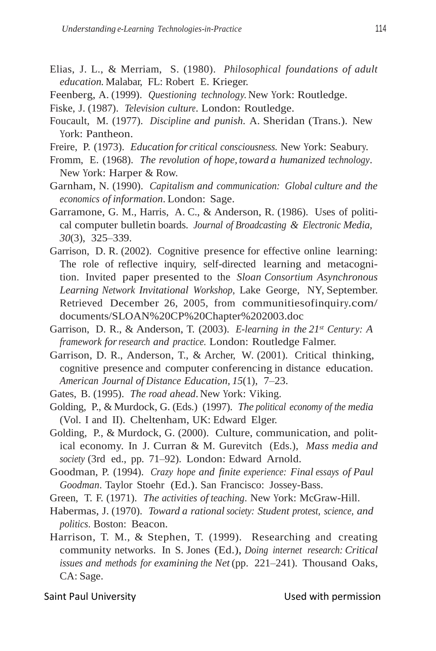Elias, J. L., & Merriam, S. (1980). *Philosophical foundations of adult education.* Malabar, FL: Robert E. Krieger.

Feenberg, A. (1999). *Questioning technology.* New York: Routledge.

- Fiske, J. (1987). *Television culture*. London: Routledge.
- Foucault, M. (1977). *Discipline and punish*. A. Sheridan (Trans.)*.* New York: Pantheon.
- Freire, P. (1973). *Education for critical consciousness.* New York: Seabury.
- Fromm, E. (1968). *The revolution of hope, toward a humanized technology*. New York: Harper & Row.
- Garnham, N. (1990). *Capitalism and communication: Global culture and the economics of information*. London: Sage.
- Garramone, G. M., Harris, A. C., & Anderson, R. (1986). Uses of political computer bulletin boards. *Journal of Broadcasting & Electronic Media, 30*(3), 325–339.
- Garrison, D. R. (2002). Cognitive presence for effective online learning: The role of reflective inquiry, self-directed learning and metacognition. Invited paper presented to the *Sloan Consortium Asynchronous Learning Network Invitational Workshop*, Lake George, NY, September. Retrieved December 26, 2005, from communitiesofinquiry.com/ documents/SLOAN%20CP%20Chapter%202003.doc
- Garrison, D. R., & Anderson, T. (2003). *E-learning in the 21st Century: A framework forresearch and practice.* London: Routledge Falmer.
- Garrison, D. R., Anderson, T., & Archer, W. (2001). Critical thinking, cognitive presence and computer conferencing in distance education. *American Journal of Distance Education, 15*(1), 7–23.
- Gates, B. (1995). *The road ahead*. New York: Viking.
- Golding, P., & Murdock, G. (Eds.) (1997). *The political economy of the media* (Vol. I and II). Cheltenham, UK: Edward Elger.
- Golding, P., & Murdock, G. (2000). Culture, communication, and political economy. In J. Curran & M. Gurevitch (Eds.), *Mass media and society* (3rd ed., pp. 71–92). London: Edward Arnold.
- Goodman, P. (1994). *Crazy hope and finite experience: Final essays of Paul Goodman*. Taylor Stoehr (Ed.). San Francisco: Jossey-Bass.
- Green, T. F. (1971). *The activities of teaching*. New York: McGraw-Hill.
- Habermas, J. (1970). *Toward a rational society: Student protest, science, and politics*. Boston: Beacon.
- Harrison, T. M., & Stephen, T. (1999). Researching and creating community networks. In S. Jones (Ed.), *Doing internet research: Critical issues and methods for examining the Net* (pp. 221–241). Thousand Oaks, CA: Sage.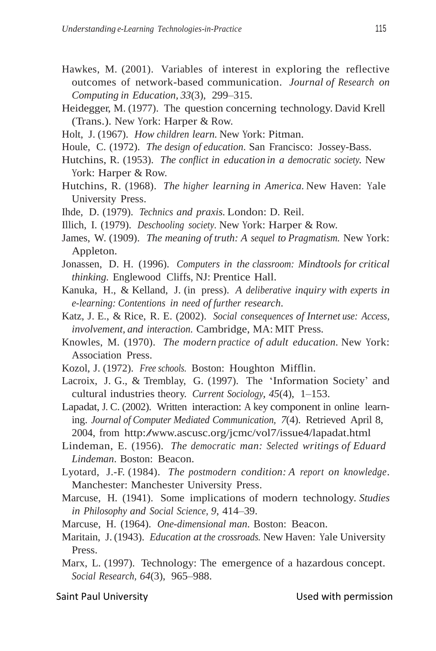- Hawkes, M. (2001). Variables of interest in exploring the reflective outcomes of network-based communication. *Journal of Research on Computing in Education, 33*(3), 299–315.
- Heidegger, M. (1977). The question concerning technology. David Krell (Trans.). New York: Harper & Row.
- Holt, J. (1967). *How children learn.* New York: Pitman.
- Houle, C. (1972). *The design of education*. San Francisco: Jossey-Bass.
- Hutchins, R. (1953). *The conflict in education in a democratic society.* New York: Harper & Row.
- Hutchins, R. (1968). *The higher learning in America.* New Haven: Yale University Press.
- Ihde, D. (1979). *Technics and praxis.* London: D. Reil.
- Illich, I. (1979). *Deschooling society*. New York: Harper & Row.
- James, W. (1909). *The meaning of truth: A sequel to Pragmatism.* New York: Appleton.
- Jonassen, D. H. (1996). *Computers in the classroom: Mindtools for critical thinking.* Englewood Cliffs, NJ: Prentice Hall.
- Kanuka, H., & Kelland, J. (in press). *A deliberative inquiry with experts in e-learning: Contentions in need of further research*.
- Katz, J. E., & Rice, R. E. (2002). *Social consequences of Internet use: Access, involvement, and interaction*. Cambridge, MA: MIT Press.
- Knowles, M. (1970). *The modern practice of adult education.* New York: Association Press.
- Kozol, J. (1972). *Free schools.* Boston: Houghton Mifflin.
- Lacroix, J. G., & Tremblay, G. (1997). The 'Information Society' and cultural industries theory. *Current Sociology, 45*(4), 1–153.
- Lapadat, J. C. (2002). Written interaction: A key component in online learning. *Journal of Computer Mediated Communication, 7*(4). Retrieved April 8, 2004, from <http://www.ascusc.org/jcmc/vol7/issue4/lapadat.html>
- Lindeman, E. (1956). *The democratic man: Selected writings of Eduard Lindeman*. Boston: Beacon.
- Lyotard, J.-F. (1984). *The postmodern condition: A report on knowledge*. Manchester: Manchester University Press.
- Marcuse, H. (1941). Some implications of modern technology. *Studies in Philosophy and Social Science, 9*, 414–39.
- Marcuse, H. (1964). *One-dimensional man*. Boston: Beacon.
- Maritain, J. (1943). *Education at the crossroads.* New Haven: Yale University Press.
- Marx, L. (1997). Technology: The emergence of a hazardous concept. *Social Research, 64*(3), 965–988.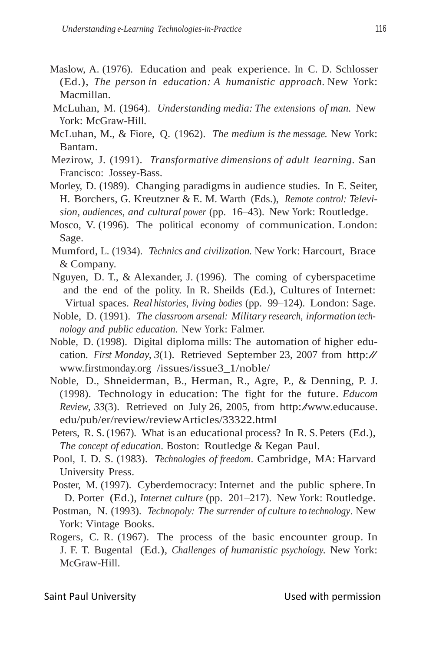- Maslow, A. (1976). Education and peak experience*.* In C. D. Schlosser (Ed.), *The person in education: A humanistic approach.* New York: Macmillan.
- McLuhan, M. (1964). *Understanding media: The extensions of man.* New York: McGraw-Hill.
- McLuhan, M., & Fiore, Q. (1962). *The medium is the message.* New York: Bantam.
- Mezirow, J. (1991). *Transformative dimensions of adult learning.* San Francisco: Jossey-Bass.
- Morley, D. (1989). Changing paradigms in audience studies. In E. Seiter, H. Borchers, G. Kreutzner & E. M. Warth (Eds.), *Remote control: Television, audiences, and cultural power* (pp. 16–43). New York: Routledge.
- Mosco, V. (1996). The political economy of communication. London: Sage.
- Mumford, L. (1934). *Technics and civilization.* New York: Harcourt, Brace & Company.
- Nguyen, D. T., & Alexander, J. (1996). The coming of cyberspacetime and the end of the polity. In R. Sheilds (Ed.), Cultures of Internet: Virtual spaces. *Real histories, living bodies* (pp. 99–124). London: Sage.
- Noble, D. (1991). *The classroom arsenal: Military research, information technology and public education*. New York: Falmer.
- Noble, D. (1998). Digital diploma mills: The automation of higher education. *First Monday, <sup>3</sup>*(1). Retrieved September 23, <sup>2007</sup> from http:// [www.firstmonday.org /](http://www.firstmonday.org/)issues/issue3\_1/noble/
- Noble, D., Shneiderman, B., Herman, R., Agre, P., & Denning, P. J. (1998). Technology in education: The fight for the future. *Educom Review, <sup>33</sup>*(3). Retrieved on July 26, 2005, from http://www.educause. edu/pub/er/review/reviewArticles/33322.html
- Peters, R. S. (1967). What is an educational process? In R. S. Peters (Ed.), *The concept of education*. Boston: Routledge & Kegan Paul.
- Pool, I. D. S. (1983). *Technologies of freedom*. Cambridge, MA: Harvard University Press.
- Poster, M. (1997). Cyberdemocracy: Internet and the public sphere.In D. Porter (Ed.), *Internet culture* (pp. 201–217). New York: Routledge.
- Postman, N. (1993). *Technopoly: The surrender of culture to technology*. New York: Vintage Books.
- Rogers, C. R. (1967). The process of the basic encounter group. In J. F. T. Bugental (Ed.), *Challenges of humanistic psychology.* New York: McGraw-Hill.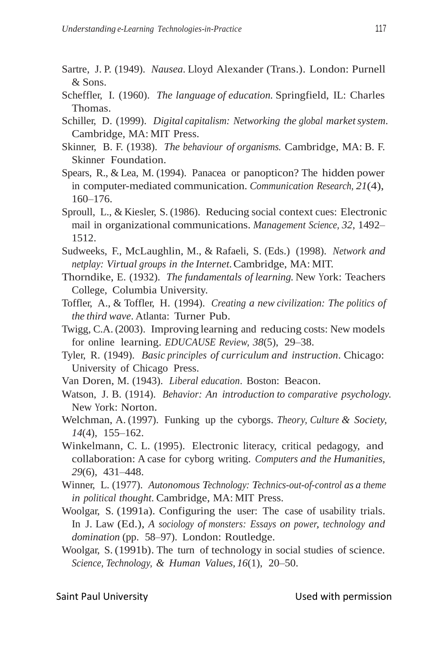- Sartre, J. P. (1949). *Nausea*. Lloyd Alexander (Trans.). London: Purnell & Sons.
- Scheffler, I. (1960). *The language of education.* Springfield, IL: Charles Thomas.
- Schiller, D. (1999). *Digital capitalism: Networking the global market system.* Cambridge, MA: MIT Press.
- Skinner, B. F. (1938). *The behaviour of organisms.* Cambridge, MA: B. F. Skinner Foundation.
- Spears, R., & Lea, M. (1994). Panacea or panopticon? The hidden power in computer-mediated communication. *Communication Research, 21*(4), 160–176.
- Sproull, L., & Kiesler, S. (1986). Reducing social context cues: Electronic mail in organizational communications. *Management Science, 32*, 1492– 1512.
- Sudweeks, F., McLaughlin, M., & Rafaeli, S. (Eds.) (1998). *Network and netplay: Virtual groups in the Internet*.Cambridge, MA: MIT.
- Thorndike, E. (1932). *The fundamentals of learning.* New York: Teachers College, Columbia University.
- Toffler, A., & Toffler, H. (1994). *Creating a new civilization: The politics of the third wave*. Atlanta: Turner Pub.
- Twigg, C.A. (2003). Improving learning and reducing costs: New models for online learning. *EDUCAUSE Review, 38*(5), 29–38.
- Tyler, R. (1949). *Basic principles of curriculum and instruction*. Chicago: University of Chicago Press.
- Van Doren, M. (1943). *Liberal education*. Boston: Beacon.
- Watson, J. B. (1914). *Behavior: An introduction to comparative psychology.* New York: Norton.
- Welchman, A. (1997). Funking up the cyborgs. *Theory, Culture & Society, 14*(4), 155–162.
- Winkelmann, C. L. (1995). Electronic literacy, critical pedagogy, and collaboration: A case for cyborg writing. *Computers and the Humanities, 29*(6), 431–448.
- Winner, L. (1977). *Autonomous Technology: Technics-out-of-control as a theme in political thought*. Cambridge, MA: MIT Press.
- Woolgar, S. (1991a). Configuring the user: The case of usability trials. In J. Law (Ed.), *A sociology of monsters: Essays on power, technology and domination* (pp. 58–97). London: Routledge.
- Woolgar, S. (1991b). The turn of technology in social studies of science. *Science, Technology, & Human Values, 16*(1), 20–50.